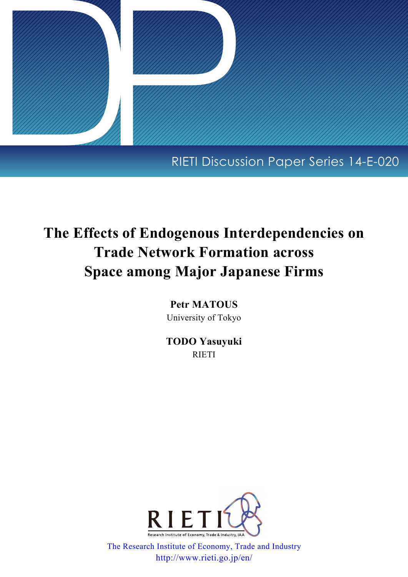

## RIETI Discussion Paper Series 14-E-020

# **The Effects of Endogenous Interdependencies on Trade Network Formation across Space among Major Japanese Firms**

**Petr MATOUS** University of Tokyo

**TODO Yasuyuki** RIETI



[The Research Institute of Economy, Trade and Industry](http://www.rieti.go.jp/en/) http://www.rieti.go.jp/en/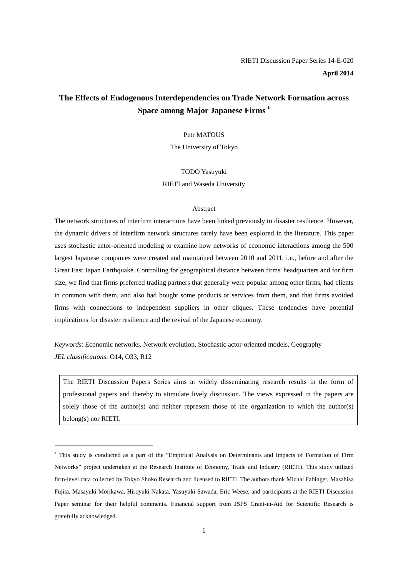## **The Effects of Endogenous Interdependencies on Trade Network Formation across Space among Major Japanese Firms** [∗](#page-1-0)

#### Petr MATOUS

The University of Tokyo

## TODO Yasuyuki RIETI and Waseda University

#### Abstract

The network structures of interfirm interactions have been linked previously to disaster resilience. However, the dynamic drivers of interfirm network structures rarely have been explored in the literature. This paper uses stochastic actor-oriented modeling to examine how networks of economic interactions among the 500 largest Japanese companies were created and maintained between 2010 and 2011, i.e., before and after the Great East Japan Earthquake. Controlling for geographical distance between firms' headquarters and for firm size, we find that firms preferred trading partners that generally were popular among other firms, had clients in common with them, and also had bought some products or services from them, and that firms avoided firms with connections to independent suppliers in other cliques. These tendencies have potential implications for disaster resilience and the revival of the Japanese economy.

*Keywords*: Economic networks, Network evolution, Stochastic actor-oriented models, Geography *JEL classifications*: O14, O33, R12

 $\overline{a}$ 

The RIETI Discussion Papers Series aims at widely disseminating research results in the form of professional papers and thereby to stimulate lively discussion. The views expressed in the papers are solely those of the author(s) and neither represent those of the organization to which the author(s) belong(s) nor RIETI.

<span id="page-1-0"></span><sup>∗</sup> This study is conducted as a part of the "Empirical Analysis on Determinants and Impacts of Formation of Firm Networks" project undertaken at the Research Institute of Economy, Trade and Industry (RIETI). This study utilized firm-level data collected by Tokyo Shoko Research and licensed to RIETI. The authors thank Michal Fabinger, Masahisa Fujita, Masayuki Morikawa, Hiroyuki Nakata, Yasuyuki Sawada, Eric Weese, and participants at the RIETI Discussion Paper seminar for their helpful comments. Financial support from JSPS Grant-in-Aid for Scientific Research is gratefully acknowledged.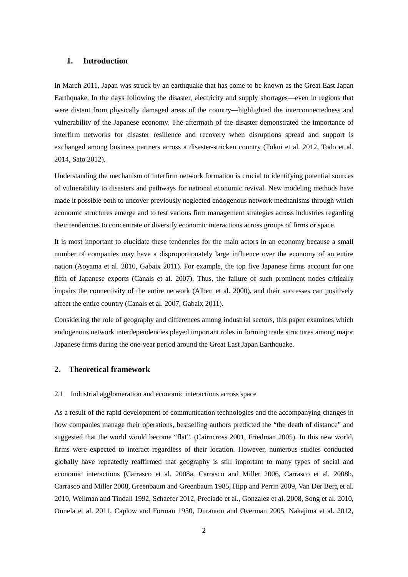## **1. Introduction**

In March 2011, Japan was struck by an earthquake that has come to be known as the Great East Japan Earthquake. In the days following the disaster, electricity and supply shortages—even in regions that were distant from physically damaged areas of the country—highlighted the interconnectedness and vulnerability of the Japanese economy. The aftermath of the disaster demonstrated the importance of interfirm networks for disaster resilience and recovery when disruptions spread and support is exchanged among business partners across a disaster-stricken country [\(Tokui et al. 2012,](#page-15-0) [Todo et al.](#page-15-1)  [2014,](#page-15-1) [Sato 2012\)](#page-14-0).

Understanding the mechanism of interfirm network formation is crucial to identifying potential sources of vulnerability to disasters and pathways for national economic revival. New modeling methods have made it possible both to uncover previously neglected endogenous network mechanisms through which economic structures emerge and to test various firm management strategies across industries regarding their tendencies to concentrate or diversify economic interactions across groups of firms or space.

It is most important to elucidate these tendencies for the main actors in an economy because a small number of companies may have a disproportionately large influence over the economy of an entire nation [\(Aoyama et al. 2010,](#page-12-0) [Gabaix 2011\)](#page-13-0). For example, the top five Japanese firms account for one fifth of Japanese exports [\(Canals et al. 2007\)](#page-12-1). Thus, the failure of such prominent nodes critically impairs the connectivity of the entire network [\(Albert et al. 2000\)](#page-12-2), and their successes can positively affect the entire country [\(Canals et al. 2007,](#page-12-1) [Gabaix 2011\)](#page-13-0).

Considering the role of geography and differences among industrial sectors, this paper examines which endogenous network interdependencies played important roles in forming trade structures among major Japanese firms during the one-year period around the Great East Japan Earthquake.

## **2. Theoretical framework**

## 2.1 Industrial agglomeration and economic interactions across space

As a result of the rapid development of communication technologies and the accompanying changes in how companies manage their operations, bestselling authors predicted the "the death of distance" and suggested that the world would become "flat". [\(Cairncross 2001,](#page-12-3) [Friedman 2005\)](#page-13-1). In this new world, firms were expected to interact regardless of their location. However, numerous studies conducted globally have repeatedly reaffirmed that geography is still important to many types of social and economic interactions [\(Carrasco et al. 2008a,](#page-12-4) [Carrasco and Miller 2006,](#page-12-5) [Carrasco et al. 2008b,](#page-12-6)  [Carrasco and Miller 2008,](#page-12-7) [Greenbaum and Greenbaum 1985,](#page-13-2) [Hipp and Perrin 2009,](#page-13-3) [Van Der Berg et al.](#page-15-2)  [2010,](#page-15-2) [Wellman and Tindall 1992,](#page-15-3) [Schaefer 2012,](#page-14-1) [Preciado et al.,](#page-14-2) [Gonzalez et al. 2008,](#page-13-4) [Song et al. 2010,](#page-14-3) [Onnela et al. 2011,](#page-14-4) [Caplow and Forman 1950,](#page-12-8) [Duranton and Overman 2005,](#page-13-5) [Nakajima et al. 2012,](#page-14-5)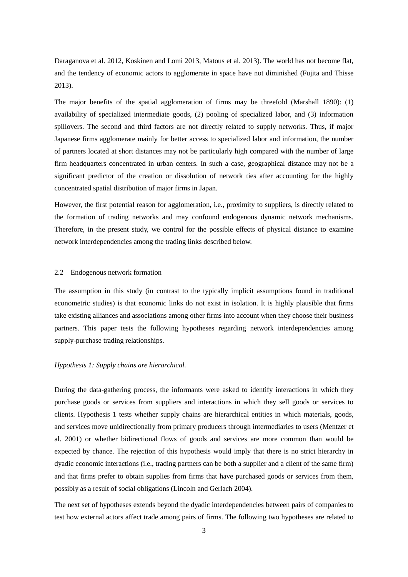[Daraganova et al. 2012,](#page-13-6) [Koskinen and Lomi 2013,](#page-13-7) [Matous et al. 2013\)](#page-13-8). The world has not become flat, and the tendency of economic actors to agglomerate in space have not diminished [\(Fujita and Thisse](#page-13-9)  [2013\)](#page-13-9).

The major benefits of the spatial agglomeration of firms may be threefold (Marshall 1890): (1) availability of specialized intermediate goods, (2) pooling of specialized labor, and (3) information spillovers. The second and third factors are not directly related to supply networks. Thus, if major Japanese firms agglomerate mainly for better access to specialized labor and information, the number of partners located at short distances may not be particularly high compared with the number of large firm headquarters concentrated in urban centers. In such a case, geographical distance may not be a significant predictor of the creation or dissolution of network ties after accounting for the highly concentrated spatial distribution of major firms in Japan.

However, the first potential reason for agglomeration, i.e., proximity to suppliers, is directly related to the formation of trading networks and may confound endogenous dynamic network mechanisms. Therefore, in the present study, we control for the possible effects of physical distance to examine network interdependencies among the trading links described below.

#### 2.2 Endogenous network formation

The assumption in this study (in contrast to the typically implicit assumptions found in traditional econometric studies) is that economic links do not exist in isolation. It is highly plausible that firms take existing alliances and associations among other firms into account when they choose their business partners. This paper tests the following hypotheses regarding network interdependencies among supply-purchase trading relationships.

## *Hypothesis 1: Supply chains are hierarchical.*

During the data-gathering process, the informants were asked to identify interactions in which they purchase goods or services from suppliers and interactions in which they sell goods or services to clients. Hypothesis 1 tests whether supply chains are hierarchical entities in which materials, goods, and services move unidirectionally from primary producers through intermediaries to users [\(Mentzer et](#page-13-10)  [al. 2001\)](#page-13-10) or whether bidirectional flows of goods and services are more common than would be expected by chance. The rejection of this hypothesis would imply that there is no strict hierarchy in dyadic economic interactions (i.e., trading partners can be both a supplier and a client of the same firm) and that firms prefer to obtain supplies from firms that have purchased goods or services from them, possibly as a result of social obligations [\(Lincoln and Gerlach 2004\)](#page-13-11).

The next set of hypotheses extends beyond the dyadic interdependencies between pairs of companies to test how external actors affect trade among pairs of firms. The following two hypotheses are related to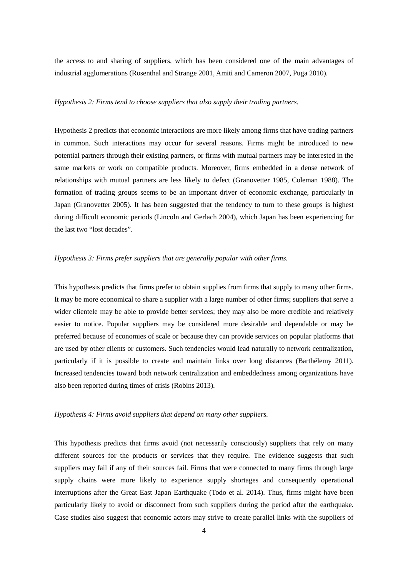the access to and sharing of suppliers, which has been considered one of the main advantages of industrial agglomerations [\(Rosenthal and Strange 2001,](#page-14-6) [Amiti and Cameron 2007,](#page-12-9) [Puga 2010\)](#page-14-7).

## *Hypothesis 2: Firms tend to choose suppliers that also supply their trading partners.*

Hypothesis 2 predicts that economic interactions are more likely among firms that have trading partners in common. Such interactions may occur for several reasons. Firms might be introduced to new potential partners through their existing partners, or firms with mutual partners may be interested in the same markets or work on compatible products. Moreover, firms embedded in a dense network of relationships with mutual partners are less likely to defect [\(Granovetter 1985,](#page-13-12) [Coleman 1988\)](#page-12-10). The formation of trading groups seems to be an important driver of economic exchange, particularly in Japan [\(Granovetter 2005\)](#page-13-13). It has been suggested that the tendency to turn to these groups is highest during difficult economic periods [\(Lincoln and Gerlach 2004\)](#page-13-11), which Japan has been experiencing for the last two "lost decades".

## *Hypothesis 3: Firms prefer suppliers that are generally popular with other firms.*

This hypothesis predicts that firms prefer to obtain supplies from firms that supply to many other firms. It may be more economical to share a supplier with a large number of other firms; suppliers that serve a wider clientele may be able to provide better services; they may also be more credible and relatively easier to notice. Popular suppliers may be considered more desirable and dependable or may be preferred because of economies of scale or because they can provide services on popular platforms that are used by other clients or customers. Such tendencies would lead naturally to network centralization, particularly if it is possible to create and maintain links over long distances [\(Barthélemy 2011\)](#page-12-11). Increased tendencies toward both network centralization and embeddedness among organizations have also been reported during times of crisis [\(Robins 2013\)](#page-14-8).

## *Hypothesis 4: Firms avoid suppliers that depend on many other suppliers.*

This hypothesis predicts that firms avoid (not necessarily consciously) suppliers that rely on many different sources for the products or services that they require. The evidence suggests that such suppliers may fail if any of their sources fail. Firms that were connected to many firms through large supply chains were more likely to experience supply shortages and consequently operational interruptions after the Great East Japan Earthquake [\(Todo et al. 2014\)](#page-15-1). Thus, firms might have been particularly likely to avoid or disconnect from such suppliers during the period after the earthquake. Case studies also suggest that economic actors may strive to create parallel links with the suppliers of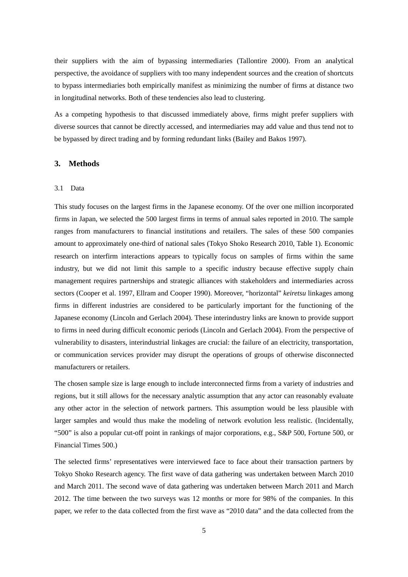their suppliers with the aim of bypassing intermediaries [\(Tallontire 2000\)](#page-15-4). From an analytical perspective, the avoidance of suppliers with too many independent sources and the creation of shortcuts to bypass intermediaries both empirically manifest as minimizing the number of firms at distance two in longitudinal networks. Both of these tendencies also lead to clustering.

As a competing hypothesis to that discussed immediately above, firms might prefer suppliers with diverse sources that cannot be directly accessed, and intermediaries may add value and thus tend not to be bypassed by direct trading and by forming redundant links [\(Bailey and Bakos 1997\)](#page-12-12).

## **3. Methods**

## 3.1 Data

This study focuses on the largest firms in the Japanese economy. Of the over one million incorporated firms in Japan, we selected the 500 largest firms in terms of annual sales reported in 2010. The sample ranges from manufacturers to financial institutions and retailers. The sales of these 500 companies amount to approximately one-third of national sales [\(Tokyo Shoko Research 2010, Table 1\)](#page-15-5). Economic research on interfirm interactions appears to typically focus on samples of firms within the same industry, but we did not limit this sample to a specific industry because effective supply chain management requires partnerships and strategic alliances with stakeholders and intermediaries across sectors [\(Cooper et al. 1997,](#page-13-14) [Ellram and Cooper 1990\)](#page-13-15). Moreover, "horizontal" *keiretsu* linkages among firms in different industries are considered to be particularly important for the functioning of the Japanese economy [\(Lincoln and Gerlach 2004\)](#page-13-11). These interindustry links are known to provide support to firms in need during difficult economic periods [\(Lincoln and Gerlach 2004\)](#page-13-11). From the perspective of vulnerability to disasters, interindustrial linkages are crucial: the failure of an electricity, transportation, or communication services provider may disrupt the operations of groups of otherwise disconnected manufacturers or retailers.

The chosen sample size is large enough to include interconnected firms from a variety of industries and regions, but it still allows for the necessary analytic assumption that any actor can reasonably evaluate any other actor in the selection of network partners. This assumption would be less plausible with larger samples and would thus make the modeling of network evolution less realistic. (Incidentally, "500" is also a popular cut-off point in rankings of major corporations, e.g., S&P 500, Fortune 500, or Financial Times 500.)

The selected firms' representatives were interviewed face to face about their transaction partners by Tokyo Shoko Research agency. The first wave of data gathering was undertaken between March 2010 and March 2011. The second wave of data gathering was undertaken between March 2011 and March 2012. The time between the two surveys was 12 months or more for 98% of the companies. In this paper, we refer to the data collected from the first wave as "2010 data" and the data collected from the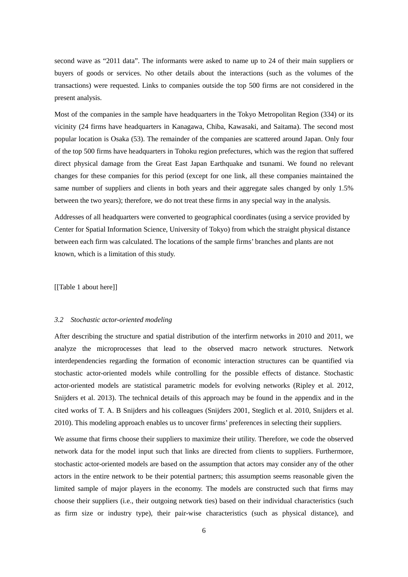second wave as "2011 data". The informants were asked to name up to 24 of their main suppliers or buyers of goods or services. No other details about the interactions (such as the volumes of the transactions) were requested. Links to companies outside the top 500 firms are not considered in the present analysis.

Most of the companies in the sample have headquarters in the Tokyo Metropolitan Region (334) or its vicinity (24 firms have headquarters in Kanagawa, Chiba, Kawasaki, and Saitama). The second most popular location is Osaka (53). The remainder of the companies are scattered around Japan. Only four of the top 500 firms have headquarters in Tohoku region prefectures, which was the region that suffered direct physical damage from the Great East Japan Earthquake and tsunami. We found no relevant changes for these companies for this period (except for one link, all these companies maintained the same number of suppliers and clients in both years and their aggregate sales changed by only 1.5% between the two years); therefore, we do not treat these firms in any special way in the analysis.

Addresses of all headquarters were converted to geographical coordinates [\(using a service provided by](#page-12-13)  [Center for Spatial Information Science, University of Tokyo\)](#page-12-13) from which the straight physical distance between each firm was calculated. The locations of the sample firms' branches and plants are not known, which is a limitation of this study.

[[Table 1 about here]]

## *3.2 Stochastic actor-oriented modeling*

After describing the structure and spatial distribution of the interfirm networks in 2010 and 2011, we analyze the microprocesses that lead to the observed macro network structures. Network interdependencies regarding the formation of economic interaction structures can be quantified via stochastic actor-oriented models while controlling for the possible effects of distance. Stochastic actor-oriented models are statistical parametric models for evolving networks [\(Ripley et al. 2012,](#page-14-9)  [Snijders et al. 2013\)](#page-14-10). The technical details of this approach may be found in the appendix and in the cited works of T. A. B Snijders and his colleagues [\(Snijders 2001,](#page-14-11) [Steglich et al. 2010,](#page-15-6) [Snijders et al.](#page-14-12)  [2010\)](#page-14-12). This modeling approach enables us to uncover firms' preferences in selecting their suppliers.

We assume that firms choose their suppliers to maximize their utility. Therefore, we code the observed network data for the model input such that links are directed from clients to suppliers. Furthermore, stochastic actor-oriented models are based on the assumption that actors may consider any of the other actors in the entire network to be their potential partners; this assumption seems reasonable given the limited sample of major players in the economy. The models are constructed such that firms may choose their suppliers (i.e., their outgoing network ties) based on their individual characteristics (such as firm size or industry type), their pair-wise characteristics (such as physical distance), and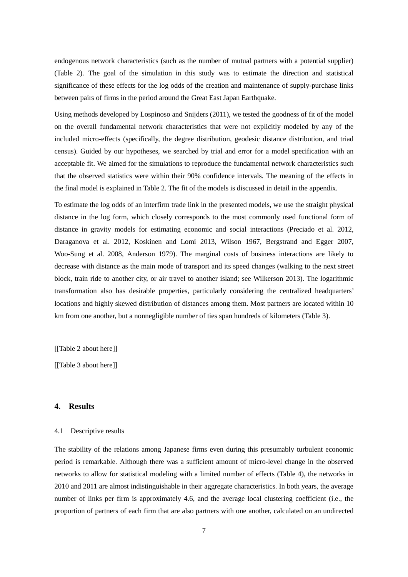endogenous network characteristics (such as the number of mutual partners with a potential supplier) (Table 2). The goal of the simulation in this study was to estimate the direction and statistical significance of these effects for the log odds of the creation and maintenance of supply-purchase links between pairs of firms in the period around the Great East Japan Earthquake.

Using methods developed by Lospinoso and Snijders [\(2011\)](#page-13-16), we tested the goodness of fit of the model on the overall fundamental network characteristics that were not explicitly modeled by any of the included micro-effects (specifically, the degree distribution, geodesic distance distribution, and triad census). Guided by our hypotheses, we searched by trial and error for a model specification with an acceptable fit. We aimed for the simulations to reproduce the fundamental network characteristics such that the observed statistics were within their 90% confidence intervals. The meaning of the effects in the final model is explained in Table 2. The fit of the models is discussed in detail in the appendix.

To estimate the log odds of an interfirm trade link in the presented models, we use the straight physical distance in the log form, which closely corresponds to the most commonly used functional form of distance in gravity models for estimating economic and social interactions [\(Preciado et al. 2012,](#page-14-13) [Daraganova et al. 2012,](#page-13-6) [Koskinen and Lomi 2013,](#page-13-7) [Wilson 1967,](#page-15-7) [Bergstrand and Egger 2007,](#page-12-14) [Woo-Sung et al. 2008,](#page-15-8) [Anderson 1979\)](#page-12-15). The marginal costs of business interactions are likely to decrease with distance as the main mode of transport and its speed changes (walking [to the next street](#page-15-9)  [block, train ride to another city, or air travel to another island; see Wilkerson 2013\)](#page-15-9). The logarithmic transformation also has desirable properties, particularly considering the centralized headquarters' locations and highly skewed distribution of distances among them. Most partners are located within 10 km from one another, but a nonnegligible number of ties span hundreds of kilometers (Table 3).

[[Table 2 about here]]

[[Table 3 about here]]

## **4. Results**

## 4.1 Descriptive results

The stability of the relations among Japanese firms even during this presumably turbulent economic period is remarkable. Although there was a sufficient amount of micro-level change in the observed networks to allow for statistical modeling with a limited number of effects (Table 4), the networks in 2010 and 2011 are almost indistinguishable in their aggregate characteristics. In both years, the average number of links per firm is approximately 4.6, and the average local clustering coefficient (i.e., the proportion of partners of each firm that are also partners with one another, calculated on an undirected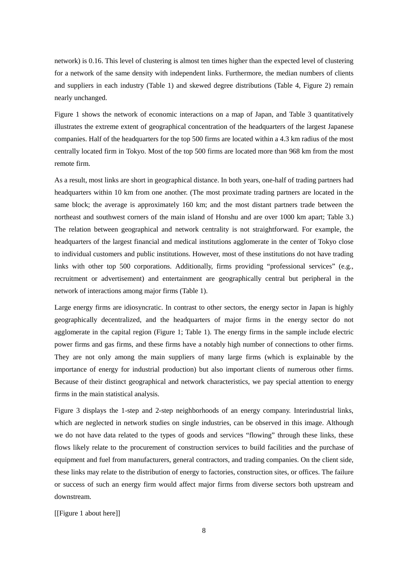network) is 0.16. This level of clustering is almost ten times higher than the expected level of clustering for a network of the same density with independent links. Furthermore, the median numbers of clients and suppliers in each industry (Table 1) and skewed degree distributions (Table 4, Figure 2) remain nearly unchanged.

Figure 1 shows the network of economic interactions on a map of Japan, and Table 3 quantitatively illustrates the extreme extent of geographical concentration of the headquarters of the largest Japanese companies. Half of the headquarters for the top 500 firms are located within a 4.3 km radius of the most centrally located firm in Tokyo. Most of the top 500 firms are located more than 968 km from the most remote firm.

As a result, most links are short in geographical distance. In both years, one-half of trading partners had headquarters within 10 km from one another. (The most proximate trading partners are located in the same block; the average is approximately 160 km; and the most distant partners trade between the northeast and southwest corners of the main island of Honshu and are over 1000 km apart; Table 3.) The relation between geographical and network centrality is not straightforward. For example, the headquarters of the largest financial and medical institutions agglomerate in the center of Tokyo close to individual customers and public institutions. However, most of these institutions do not have trading links with other top 500 corporations. Additionally, firms providing "professional services" (e.g., recruitment or advertisement) and entertainment are geographically central but peripheral in the network of interactions among major firms (Table 1).

Large energy firms are idiosyncratic. In contrast to other sectors, the energy sector in Japan is highly geographically decentralized, and the headquarters of major firms in the energy sector do not agglomerate in the capital region (Figure 1; Table 1). The energy firms in the sample include electric power firms and gas firms, and these firms have a notably high number of connections to other firms. They are not only among the main suppliers of many large firms (which is explainable by the importance of energy for industrial production) but also important clients of numerous other firms. Because of their distinct geographical and network characteristics, we pay special attention to energy firms in the main statistical analysis.

Figure 3 displays the 1-step and 2-step neighborhoods of an energy company. Interindustrial links, which are neglected in network studies on single industries, can be observed in this image. Although we do not have data related to the types of goods and services "flowing" through these links, these flows likely relate to the procurement of construction services to build facilities and the purchase of equipment and fuel from manufacturers, general contractors, and trading companies. On the client side, these links may relate to the distribution of energy to factories, construction sites, or offices. The failure or success of such an energy firm would affect major firms from diverse sectors both upstream and downstream.

## [[Figure 1 about here]]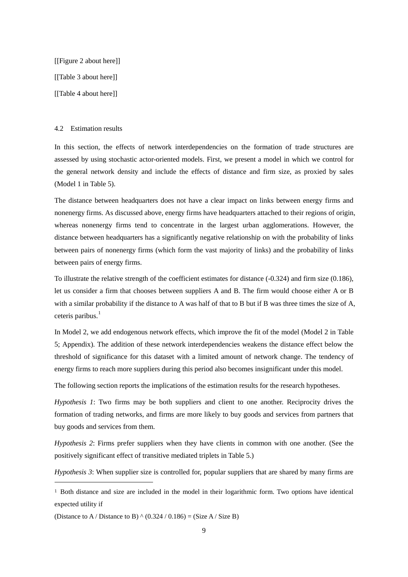[[Figure 2 about here]] [[Table 3 about here]] [[Table 4 about here]]

#### 4.2 Estimation results

In this section, the effects of network interdependencies on the formation of trade structures are assessed by using stochastic actor-oriented models. First, we present a model in which we control for the general network density and include the effects of distance and firm size, as proxied by sales (Model 1 in Table 5).

The distance between headquarters does not have a clear impact on links between energy firms and nonenergy firms. As discussed above, energy firms have headquarters attached to their regions of origin, whereas nonenergy firms tend to concentrate in the largest urban agglomerations. However, the distance between headquarters has a significantly negative relationship on with the probability of links between pairs of nonenergy firms (which form the vast majority of links) and the probability of links between pairs of energy firms.

To illustrate the relative strength of the coefficient estimates for distance (-0.324) and firm size (0.186), let us consider a firm that chooses between suppliers A and B. The firm would choose either A or B with a similar probability if the distance to A was half of that to B but if B was three times the size of A, ceteris paribus. [1](#page-9-0)

In Model 2, we add endogenous network effects, which improve the fit of the model (Model 2 in Table 5; Appendix). The addition of these network interdependencies weakens the distance effect below the threshold of significance for this dataset with a limited amount of network change. The tendency of energy firms to reach more suppliers during this period also becomes insignificant under this model.

The following section reports the implications of the estimation results for the research hypotheses.

*Hypothesis 1*: Two firms may be both suppliers and client to one another. Reciprocity drives the formation of trading networks, and firms are more likely to buy goods and services from partners that buy goods and services from them.

*Hypothesis 2*: Firms prefer suppliers when they have clients in common with one another. (See the positively significant effect of transitive mediated triplets in Table 5.)

*Hypothesis 3*: When supplier size is controlled for, popular suppliers that are shared by many firms are

(Distance to A / Distance to B)  $\land$  (0.324 / 0.186) = (Size A / Size B)

 $\overline{a}$ 

<span id="page-9-0"></span><sup>1</sup> Both distance and size are included in the model in their logarithmic form. Two options have identical expected utility if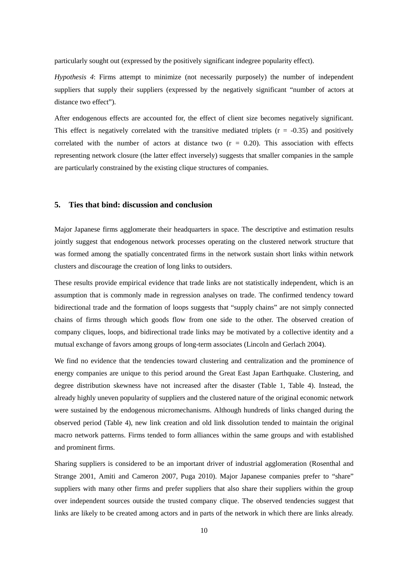particularly sought out (expressed by the positively significant indegree popularity effect).

*Hypothesis 4*: Firms attempt to minimize (not necessarily purposely) the number of independent suppliers that supply their suppliers (expressed by the negatively significant "number of actors at distance two effect").

After endogenous effects are accounted for, the effect of client size becomes negatively significant. This effect is negatively correlated with the transitive mediated triplets  $(r = -0.35)$  and positively correlated with the number of actors at distance two  $(r = 0.20)$ . This association with effects representing network closure (the latter effect inversely) suggests that smaller companies in the sample are particularly constrained by the existing clique structures of companies.

## **5. Ties that bind: discussion and conclusion**

Major Japanese firms agglomerate their headquarters in space. The descriptive and estimation results jointly suggest that endogenous network processes operating on the clustered network structure that was formed among the spatially concentrated firms in the network sustain short links within network clusters and discourage the creation of long links to outsiders.

These results provide empirical evidence that trade links are not statistically independent, which is an assumption that is commonly made in regression analyses on trade. The confirmed tendency toward bidirectional trade and the formation of loops suggests that "supply chains" are not simply connected chains of firms through which goods flow from one side to the other. The observed creation of company cliques, loops, and bidirectional trade links may be motivated by a collective identity and a mutual exchange of favors among groups of long-term associates [\(Lincoln and Gerlach 2004\)](#page-13-11).

We find no evidence that the tendencies toward clustering and centralization and the prominence of energy companies are unique to this period around the Great East Japan Earthquake. Clustering, and degree distribution skewness have not increased after the disaster (Table 1, Table 4). Instead, the already highly uneven popularity of suppliers and the clustered nature of the original economic network were sustained by the endogenous micromechanisms. Although hundreds of links changed during the observed period (Table 4), new link creation and old link dissolution tended to maintain the original macro network patterns. Firms tended to form alliances within the same groups and with established and prominent firms.

Sharing suppliers is considered to be an important driver of industrial agglomeration [\(Rosenthal and](#page-14-6)  [Strange 2001,](#page-14-6) [Amiti and Cameron 2007,](#page-12-9) [Puga 2010\)](#page-14-7). Major Japanese companies prefer to "share" suppliers with many other firms and prefer suppliers that also share their suppliers within the group over independent sources outside the trusted company clique. The observed tendencies suggest that links are likely to be created among actors and in parts of the network in which there are links already.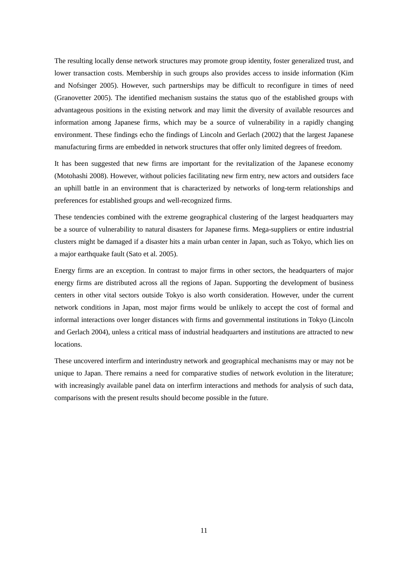The resulting locally dense network structures may promote group identity, foster generalized trust, and lower transaction costs. Membership in such groups also provides access to inside information [\(Kim](#page-13-17)  [and Nofsinger 2005\)](#page-13-17). However, such partnerships may be difficult to reconfigure in times of need [\(Granovetter 2005\)](#page-13-13). The identified mechanism sustains the status quo of the established groups with advantageous positions in the existing network and may limit the diversity of available resources and information among Japanese firms, which may be a source of vulnerability in a rapidly changing environment. These findings echo the findings of Lincoln and Gerlach (2002) that the largest Japanese manufacturing firms are embedded in network structures that offer only limited degrees of freedom.

It has been suggested that new firms are important for the revitalization of the Japanese economy [\(Motohashi 2008\)](#page-14-14). However, without policies facilitating new firm entry, new actors and outsiders face an uphill battle in an environment that is characterized by networks of long-term relationships and preferences for established groups and well-recognized firms.

These tendencies combined with the extreme geographical clustering of the largest headquarters may be a source of vulnerability to natural disasters for Japanese firms. Mega-suppliers or entire industrial clusters might be damaged if a disaster hits a main urban center in Japan, such as Tokyo, which lies on a major earthquake fault [\(Sato et al. 2005\)](#page-14-15).

Energy firms are an exception. In contrast to major firms in other sectors, the headquarters of major energy firms are distributed across all the regions of Japan. Supporting the development of business centers in other vital sectors outside Tokyo is also worth consideration. However, under the current network conditions in Japan, most major firms would be unlikely to accept the cost of formal and informal interactions over longer distances with firms and governmental institutions in Tokyo [\(Lincoln](#page-13-11)  [and Gerlach 2004\)](#page-13-11), unless a critical mass of industrial headquarters and institutions are attracted to new locations.

These uncovered interfirm and interindustry network and geographical mechanisms may or may not be unique to Japan. There remains a need for comparative studies of network evolution in the literature; with increasingly available panel data on interfirm interactions and methods for analysis of such data, comparisons with the present results should become possible in the future.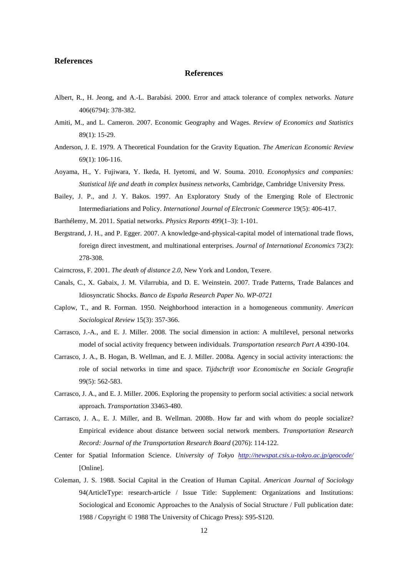## **References**

## **References**

- <span id="page-12-2"></span>Albert, R., H. Jeong, and A.-L. Barabási. 2000. Error and attack tolerance of complex networks. *Nature* 406(6794): 378-382.
- <span id="page-12-9"></span>Amiti, M., and L. Cameron. 2007. Economic Geography and Wages. *Review of Economics and Statistics* 89(1): 15-29.
- <span id="page-12-15"></span>Anderson, J. E. 1979. A Theoretical Foundation for the Gravity Equation. *The American Economic Review* 69(1): 106-116.
- <span id="page-12-0"></span>Aoyama, H., Y. Fujiwara, Y. Ikeda, H. Iyetomi, and W. Souma. 2010. *Econophysics and companies: Statistical life and death in complex business networks,* Cambridge, Cambridge University Press.
- <span id="page-12-12"></span>Bailey, J. P., and J. Y. Bakos. 1997. An Exploratory Study of the Emerging Role of Electronic Intermediariations and Policy. *International Journal of Electronic Commerce* 19(5): 406-417.
- <span id="page-12-11"></span>Barthélemy, M. 2011. Spatial networks. *Physics Reports* 499(1–3): 1-101.
- <span id="page-12-14"></span>Bergstrand, J. H., and P. Egger. 2007. A knowledge-and-physical-capital model of international trade flows, foreign direct investment, and multinational enterprises. *Journal of International Economics* 73(2): 278-308.
- <span id="page-12-3"></span>Cairncross, F. 2001. *The death of distance 2.0,* New York and London, Texere.
- <span id="page-12-1"></span>Canals, C., X. Gabaix, J. M. Vilarrubia, and D. E. Weinstein. 2007. Trade Patterns, Trade Balances and Idiosyncratic Shocks. *Banco de España Research Paper No. WP-0721*
- <span id="page-12-8"></span>Caplow, T., and R. Forman. 1950. Neighborhood interaction in a homogeneous community. *American Sociological Review* 15(3): 357-366.
- <span id="page-12-7"></span>Carrasco, J.-A., and E. J. Miller. 2008. The social dimension in action: A multilevel, personal networks model of social activity frequency between individuals. *Transportation research Part A* 4390-104.
- <span id="page-12-4"></span>Carrasco, J. A., B. Hogan, B. Wellman, and E. J. Miller. 2008a. Agency in social activity interactions: the role of social networks in time and space. *Tijdschrift voor Economische en Sociale Geografie* 99(5): 562-583.
- <span id="page-12-5"></span>Carrasco, J. A., and E. J. Miller. 2006. Exploring the propensity to perform social activities: a social network approach. *Transportation* 33463-480.
- <span id="page-12-6"></span>Carrasco, J. A., E. J. Miller, and B. Wellman. 2008b. How far and with whom do people socialize? Empirical evidence about distance between social network members. *Transportation Research Record: Journal of the Transportation Research Board* (2076): 114-122.
- <span id="page-12-13"></span>Center for Spatial Information Science. *University of Tokyo <http://newspat.csis.u-tokyo.ac.jp/geocode/>* [Online].
- <span id="page-12-10"></span>Coleman, J. S. 1988. Social Capital in the Creation of Human Capital. *American Journal of Sociology* 94(ArticleType: research-article / Issue Title: Supplement: Organizations and Institutions: Sociological and Economic Approaches to the Analysis of Social Structure / Full publication date: 1988 / Copyright © 1988 The University of Chicago Press): S95-S120.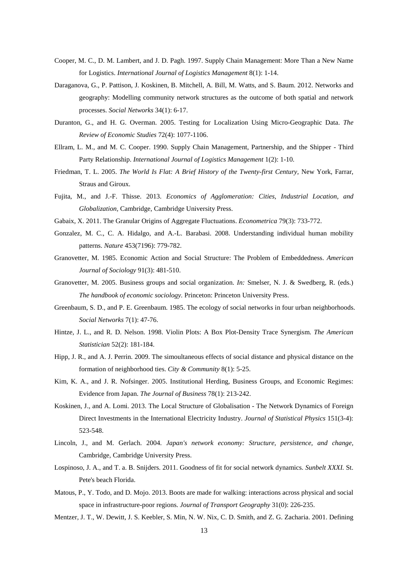- <span id="page-13-14"></span>Cooper, M. C., D. M. Lambert, and J. D. Pagh. 1997. Supply Chain Management: More Than a New Name for Logistics. *International Journal of Logistics Management* 8(1): 1-14.
- <span id="page-13-6"></span>Daraganova, G., P. Pattison, J. Koskinen, B. Mitchell, A. Bill, M. Watts, and S. Baum. 2012. Networks and geography: Modelling community network structures as the outcome of both spatial and network processes. *Social Networks* 34(1): 6-17.
- <span id="page-13-5"></span>Duranton, G., and H. G. Overman. 2005. Testing for Localization Using Micro-Geographic Data. *The Review of Economic Studies* 72(4): 1077-1106.
- <span id="page-13-15"></span>Ellram, L. M., and M. C. Cooper. 1990. Supply Chain Management, Partnership, and the Shipper - Third Party Relationship. *International Journal of Logistics Management* 1(2): 1-10.
- <span id="page-13-1"></span>Friedman, T. L. 2005. *The World Is Flat: A Brief History of the Twenty-first Century,* New York, Farrar, Straus and Giroux.
- <span id="page-13-9"></span>Fujita, M., and J.-F. Thisse. 2013. *Economics of Agglomeration: Cities, Industrial Location, and Globalization,* Cambridge, Cambridge University Press.
- <span id="page-13-0"></span>Gabaix, X. 2011. The Granular Origins of Aggregate Fluctuations. *Econometrica* 79(3): 733-772.
- <span id="page-13-4"></span>Gonzalez, M. C., C. A. Hidalgo, and A.-L. Barabasi. 2008. Understanding individual human mobility patterns. *Nature* 453(7196): 779-782.
- <span id="page-13-12"></span>Granovetter, M. 1985. Economic Action and Social Structure: The Problem of Embeddedness. *American Journal of Sociology* 91(3): 481-510.
- <span id="page-13-13"></span>Granovetter, M. 2005. Business groups and social organization. *In:* Smelser, N. J. & Swedberg, R. (eds.) *The handbook of economic sociology.* Princeton: Princeton University Press.
- <span id="page-13-2"></span>Greenbaum, S. D., and P. E. Greenbaum. 1985. The ecology of social networks in four urban neighborhoods. *Social Networks* 7(1): 47-76.
- <span id="page-13-18"></span>Hintze, J. L., and R. D. Nelson. 1998. Violin Plots: A Box Plot-Density Trace Synergism. *The American Statistician* 52(2): 181-184.
- <span id="page-13-3"></span>Hipp, J. R., and A. J. Perrin. 2009. The simoultaneous effects of social distance and physical distance on the formation of neighborhood ties. *City & Community* 8(1): 5-25.
- <span id="page-13-17"></span>Kim, K. A., and J. R. Nofsinger. 2005. Institutional Herding, Business Groups, and Economic Regimes: Evidence from Japan. *The Journal of Business* 78(1): 213-242.
- <span id="page-13-7"></span>Koskinen, J., and A. Lomi. 2013. The Local Structure of Globalisation - The Network Dynamics of Foreign Direct Investments in the International Electricity Industry. *Journal of Statistical Physics* 151(3-4): 523-548.
- <span id="page-13-11"></span>Lincoln, J., and M. Gerlach. 2004. *Japan's network economy: Structure, persistence, and change,*  Cambridge, Cambridge University Press.
- <span id="page-13-16"></span>Lospinoso, J. A., and T. a. B. Snijders. 2011. Goodness of fit for social network dynamics. *Sunbelt XXXI.* St. Pete's beach Florida.
- <span id="page-13-8"></span>Matous, P., Y. Todo, and D. Mojo. 2013. Boots are made for walking: interactions across physical and social space in infrastructure-poor regions. *Journal of Transport Geography* 31(0): 226-235.
- <span id="page-13-10"></span>Mentzer, J. T., W. Dewitt, J. S. Keebler, S. Min, N. W. Nix, C. D. Smith, and Z. G. Zacharia. 2001. Defining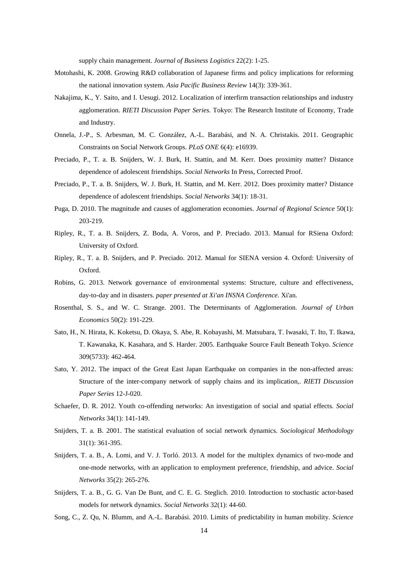supply chain management. *Journal of Business Logistics* 22(2): 1-25.

- <span id="page-14-14"></span>Motohashi, K. 2008. Growing R&D collaboration of Japanese firms and policy implications for reforming the national innovation system. *Asia Pacific Business Review* 14(3): 339-361.
- <span id="page-14-5"></span>Nakajima, K., Y. Saito, and I. Uesugi. 2012. Localization of interfirm transaction relationships and industry agglomeration. *RIETI Discussion Paper Series.* Tokyo: The Research Institute of Economy, Trade and Industry.
- <span id="page-14-4"></span>Onnela, J.-P., S. Arbesman, M. C. González, A.-L. Barabási, and N. A. Christakis. 2011. Geographic Constraints on Social Network Groups. *PLoS ONE* 6(4): e16939.
- <span id="page-14-2"></span>Preciado, P., T. a. B. Snijders, W. J. Burk, H. Stattin, and M. Kerr. Does proximity matter? Distance dependence of adolescent friendships. *Social Networks* In Press, Corrected Proof.
- <span id="page-14-13"></span>Preciado, P., T. a. B. Snijders, W. J. Burk, H. Stattin, and M. Kerr. 2012. Does proximity matter? Distance dependence of adolescent friendships. *Social Networks* 34(1): 18-31.
- <span id="page-14-7"></span>Puga, D. 2010. The magnitude and causes of agglomeration economies. *Journal of Regional Science* 50(1): 203-219.
- <span id="page-14-16"></span>Ripley, R., T. a. B. Snijders, Z. Boda, A. Voros, and P. Preciado. 2013. Manual for RSiena Oxford: University of Oxford.
- <span id="page-14-9"></span>Ripley, R., T. a. B. Snijders, and P. Preciado. 2012. Manual for SIENA version 4. Oxford: University of Oxford.
- <span id="page-14-8"></span>Robins, G. 2013. Network governance of environmental systems: Structure, culture and effectiveness, day-to-day and in disasters. *paper presented at Xi'an INSNA Conference.* Xi'an.
- <span id="page-14-6"></span>Rosenthal, S. S., and W. C. Strange. 2001. The Determinants of Agglomeration. *Journal of Urban Economics* 50(2): 191-229.
- <span id="page-14-15"></span>Sato, H., N. Hirata, K. Koketsu, D. Okaya, S. Abe, R. Kobayashi, M. Matsubara, T. Iwasaki, T. Ito, T. Ikawa, T. Kawanaka, K. Kasahara, and S. Harder. 2005. Earthquake Source Fault Beneath Tokyo. *Science* 309(5733): 462-464.
- <span id="page-14-0"></span>Sato, Y. 2012. The impact of the Great East Japan Earthquake on companies in the non-affected areas: Structure of the inter-company network of supply chains and its implication,. *RIETI Discussion Paper Series* 12-J-020.
- <span id="page-14-1"></span>Schaefer, D. R. 2012. Youth co-offending networks: An investigation of social and spatial effects. *Social Networks* 34(1): 141-149.
- <span id="page-14-11"></span>Snijders, T. a. B. 2001. The statistical evaluation of social network dynamics. *Sociological Methodology* 31(1): 361-395.
- <span id="page-14-10"></span>Snijders, T. a. B., A. Lomi, and V. J. Torló. 2013. A model for the multiplex dynamics of two-mode and one-mode networks, with an application to employment preference, friendship, and advice. *Social Networks* 35(2): 265-276.
- <span id="page-14-12"></span>Snijders, T. a. B., G. G. Van De Bunt, and C. E. G. Steglich. 2010. Introduction to stochastic actor-based models for network dynamics. *Social Networks* 32(1): 44-60.
- <span id="page-14-3"></span>Song, C., Z. Qu, N. Blumm, and A.-L. Barabási. 2010. Limits of predictability in human mobility. *Science*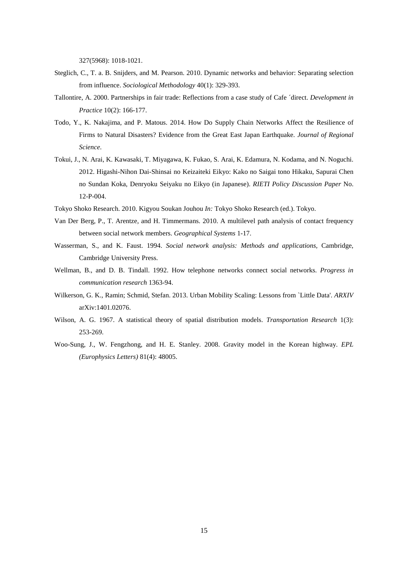327(5968): 1018-1021.

- <span id="page-15-6"></span>Steglich, C., T. a. B. Snijders, and M. Pearson. 2010. Dynamic networks and behavior: Separating selection from influence. *Sociological Methodology* 40(1): 329-393.
- <span id="page-15-4"></span>Tallontire, A. 2000. Partnerships in fair trade: Reflections from a case study of Cafe ´direct. *Development in Practice* 10(2): 166-177.
- <span id="page-15-1"></span>Todo, Y., K. Nakajima, and P. Matous. 2014. How Do Supply Chain Networks Affect the Resilience of Firms to Natural Disasters? Evidence from the Great East Japan Earthquake. *Journal of Regional Science*.
- <span id="page-15-0"></span>Tokui, J., N. Arai, K. Kawasaki, T. Miyagawa, K. Fukao, S. Arai, K. Edamura, N. Kodama, and N. Noguchi. 2012. Higashi-Nihon Dai-Shinsai no Keizaiteki Eikyo: Kako no Saigai tono Hikaku, Sapurai Chen no Sundan Koka, Denryoku Seiyaku no Eikyo (in Japanese). *RIETI Policy Discussion Paper* No. 12-P-004.
- <span id="page-15-5"></span>Tokyo Shoko Research. 2010. Kigyou Soukan Jouhou *In:* Tokyo Shoko Research (ed.). Tokyo.
- <span id="page-15-2"></span>Van Der Berg, P., T. Arentze, and H. Timmermans. 2010. A multilevel path analysis of contact frequency between social network members. *Geographical Systems* 1-17.
- <span id="page-15-10"></span>Wasserman, S., and K. Faust. 1994. *Social network analysis: Methods and applications,* Cambridge, Cambridge University Press.
- <span id="page-15-3"></span>Wellman, B., and D. B. Tindall. 1992. How telephone networks connect social networks. *Progress in communication research* 1363-94.
- <span id="page-15-9"></span>Wilkerson, G. K., Ramin; Schmid, Stefan. 2013. Urban Mobility Scaling: Lessons from `Little Data'. *ARXIV* arXiv:1401.02076.
- <span id="page-15-7"></span>Wilson, A. G. 1967. A statistical theory of spatial distribution models. *Transportation Research* 1(3): 253-269.
- <span id="page-15-8"></span>Woo-Sung, J., W. Fengzhong, and H. E. Stanley. 2008. Gravity model in the Korean highway. *EPL (Europhysics Letters)* 81(4): 48005.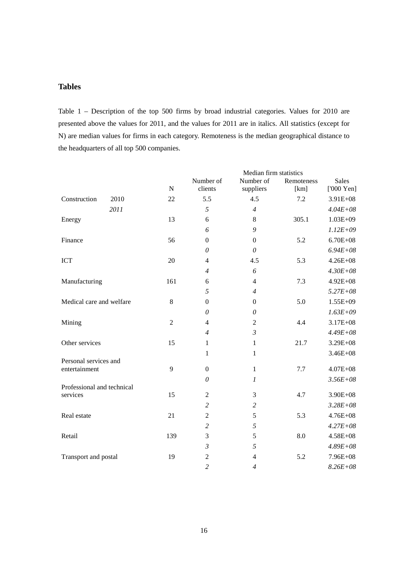## **Tables**

Table 1 – Description of the top 500 firms by broad industrial categories. Values for 2010 are presented above the values for 2011, and the values for 2011 are in italics. All statistics (except for N) are median values for firms in each category. Remoteness is the median geographical distance to the headquarters of all top 500 companies.

|                            |      |                | Median firm statistics |                        |                    |                                    |
|----------------------------|------|----------------|------------------------|------------------------|--------------------|------------------------------------|
|                            |      | ${\bf N}$      | Number of<br>clients   | Number of<br>suppliers | Remoteness<br>[km] | <b>Sales</b><br>$[000 \text{Yen}]$ |
| Construction               | 2010 | 22             | 5.5                    | 4.5                    | 7.2                | 3.91E+08                           |
|                            | 2011 |                | 5                      | $\overline{4}$         |                    | $4.04E + 08$                       |
| Energy                     |      | 13             | 6                      | 8                      | 305.1              | 1.03E+09                           |
|                            |      |                | 6                      | 9                      |                    | $1.12E + 09$                       |
| Finance                    |      | 56             | $\boldsymbol{0}$       | $\boldsymbol{0}$       | 5.2                | $6.70E + 08$                       |
|                            |      |                | $\theta$               | $\theta$               |                    | $6.94E + 08$                       |
| <b>ICT</b>                 |      | 20             | 4                      | 4.5                    | 5.3                | $4.26E + 08$                       |
|                            |      |                | $\overline{4}$         | 6                      |                    | $4.30E + 08$                       |
| Manufacturing              |      | 161            | 6                      | $\overline{4}$         | 7.3                | $4.92E + 08$                       |
|                            |      |                | 5                      | $\overline{4}$         |                    | $5.27E + 08$                       |
| Medical care and welfare   |      | 8              | $\boldsymbol{0}$       | $\overline{0}$         | 5.0                | 1.55E+09                           |
|                            |      |                | $\theta$               | $\theta$               |                    | $1.63E + 09$                       |
| Mining                     |      | $\overline{2}$ | $\overline{4}$         | $\overline{2}$         | 4.4                | 3.17E+08                           |
|                            |      |                | $\overline{4}$         | $\mathfrak{Z}$         |                    | $4.49E + 08$                       |
| Other services             |      | 15             | 1                      | $\mathbf{1}$           | 21.7               | 3.29E+08                           |
|                            |      |                | $\mathbf{1}$           | $\mathbf{1}$           |                    | 3.46E+08                           |
| Personal services and      |      |                |                        |                        |                    |                                    |
| entertainment              |      | 9              | $\boldsymbol{0}$       | $\mathbf{1}$           | 7.7                | $4.07E + 08$                       |
| Professional and technical |      |                | $\theta$               | 1                      |                    | $3.56E + 08$                       |
| services                   |      | 15             | $\boldsymbol{2}$       | 3                      | 4.7                | 3.90E+08                           |
|                            |      |                | $\overline{c}$         | $\overline{c}$         |                    | $3.28E + 08$                       |
| Real estate                |      | 21             | $\mathfrak{2}$         | 5                      | 5.3                | $4.76E + 08$                       |
|                            |      |                | $\overline{c}$         | 5                      |                    | $4.27E + 08$                       |
| Retail                     |      | 139            | 3                      | 5                      | 8.0                | $4.58E + 08$                       |
|                            |      |                | $\mathfrak{Z}$         | 5                      |                    | $4.89E + 08$                       |
| Transport and postal       |      | 19             | $\overline{2}$         | $\overline{4}$         | 5.2                | 7.96E+08                           |
|                            |      |                | $\overline{c}$         | $\overline{4}$         |                    | $8.26E + 08$                       |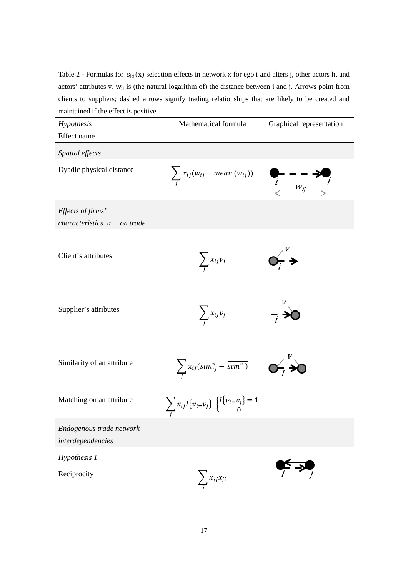Table 2 - Formulas for  $s_{ki}(x)$  selection effects in network x for ego i and alters j, other actors h, and actors' attributes v. wij is (the natural logarithm of) the distance between i and j. Arrows point from clients to suppliers; dashed arrows signify trading relationships that are likely to be created and maintained if the effect is positive.

| Hypothesis                                    | Mathematical formula                                                                         | Graphical representation         |
|-----------------------------------------------|----------------------------------------------------------------------------------------------|----------------------------------|
| Effect name                                   |                                                                                              |                                  |
| Spatial effects                               |                                                                                              |                                  |
| Dyadic physical distance                      | $\sum_i x_{ij}(w_{ij} - mean(w_{ij}))$                                                       | $\frac{1}{i}$ $\frac{1}{w_{ij}}$ |
| Effects of firms'                             |                                                                                              |                                  |
| characteristics v<br>on trade                 |                                                                                              |                                  |
| Client's attributes                           | $\sum_i x_{ij} v_i$                                                                          | $\mathbf{p}_i$ >                 |
| Supplier's attributes                         | $\sum_i x_{ij} v_j$                                                                          |                                  |
| Similarity of an attribute                    | $\sum_i x_{ij} (sim_{ij}^v - \overline{sim^v}) \qquad \bullet \qquad \bullet \qquad \bullet$ |                                  |
| Matching on an attribute                      | $\sum_i x_{ij} I\{v_{i=}v_j\} \begin{Bmatrix} I\{v_{i=}v_j\}=1\\ 0 \end{Bmatrix}$            |                                  |
| Endogenous trade network<br>interdependencies |                                                                                              |                                  |
| Hypothesis 1                                  |                                                                                              |                                  |
| Reciprocity                                   | $\sum_i x_{ij}x_{ji}$                                                                        |                                  |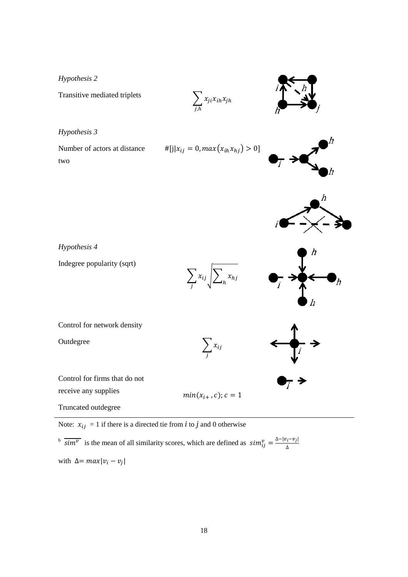*Hypothesis 2*

Transitive mediated triplets

*Hypothesis 3*

Number of actors at distance two

$$
\#[j|x_{ij}=0, max(x_{ih}x_{hj})>0]
$$

 $\sum_{i,k} x_{ji} x_{ih} x_{jh}$ 





Indegree popularity (sqrt)





Control for network density

**Outdegree** 

$$
\sum_j x_{ij}
$$

 $min(x_{i+}, c); c = 1$ 



Control for firms that do not

receive any supplies

Truncated outdegree

Note:  $x_{ij} = 1$  if there is a directed tie from *i* to *j* and 0 otherwise

 $\frac{1}{\sin^2}$  is the mean of all similarity scores, which are defined as  $\sin^{\nu}_{ij} = \frac{\Delta - |\nu_i - \nu_j|}{\Delta}$ with  $\Delta = max |v_i - v_j|$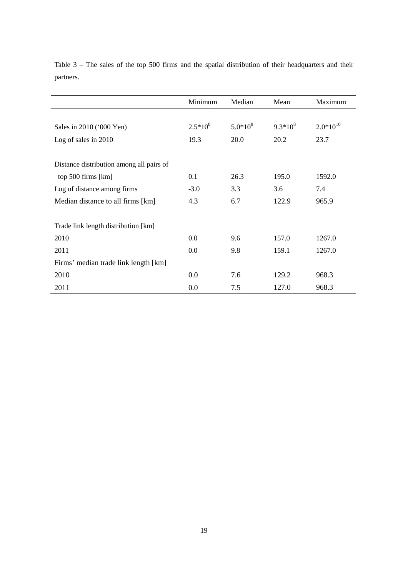|                                          | Minimum    | Median       | Mean       | Maximum       |
|------------------------------------------|------------|--------------|------------|---------------|
|                                          |            |              |            |               |
| Sales in 2010 ('000 Yen)                 | $2.5*10^8$ | $5.0*10^{8}$ | $9.3*10^8$ | $2.0*10^{10}$ |
| Log of sales in 2010                     | 19.3       | 20.0         | 20.2       | 23.7          |
|                                          |            |              |            |               |
| Distance distribution among all pairs of |            |              |            |               |
| top 500 firms [km]                       | 0.1        | 26.3         | 195.0      | 1592.0        |
| Log of distance among firms              | $-3.0$     | 3.3          | 3.6        | 7.4           |
| Median distance to all firms [km]        | 4.3        | 6.7          | 122.9      | 965.9         |
|                                          |            |              |            |               |
| Trade link length distribution [km]      |            |              |            |               |
| 2010                                     | 0.0        | 9.6          | 157.0      | 1267.0        |
| 2011                                     | 0.0        | 9.8          | 159.1      | 1267.0        |
| Firms' median trade link length [km]     |            |              |            |               |
| 2010                                     | 0.0        | 7.6          | 129.2      | 968.3         |
| 2011                                     | 0.0        | 7.5          | 127.0      | 968.3         |

Table 3 – The sales of the top 500 firms and the spatial distribution of their headquarters and their partners.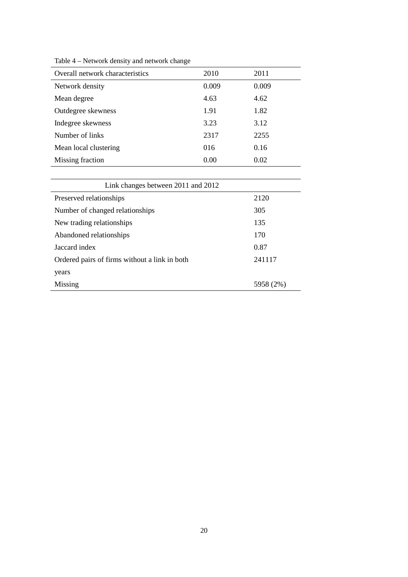| 2010  | 2011  |
|-------|-------|
| 0.009 | 0.009 |
| 4.63  | 4.62  |
| 1.91  | 1.82  |
| 3.23  | 3.12  |
| 2317  | 2255  |
| 016   | 0.16  |
| 0.00  | 0.02  |
|       |       |

Table 4 – Network density and network change

| Link changes between 2011 and 2012            |           |
|-----------------------------------------------|-----------|
| Preserved relationships                       | 2120      |
| Number of changed relationships               | 305       |
| New trading relationships                     | 135       |
| Abandoned relationships                       | 170       |
| Jaccard index                                 | 0.87      |
| Ordered pairs of firms without a link in both | 241117    |
| years                                         |           |
| Missing                                       | 5958 (2%) |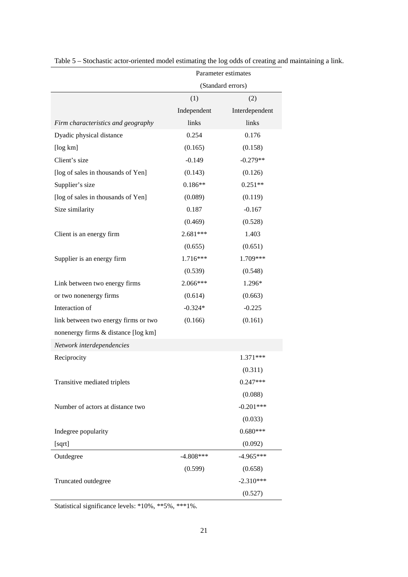|                                      | Parameter estimates |                   |  |
|--------------------------------------|---------------------|-------------------|--|
|                                      |                     | (Standard errors) |  |
|                                      | (1)                 | (2)               |  |
|                                      | Independent         | Interdependent    |  |
| Firm characteristics and geography   | links               | links             |  |
| Dyadic physical distance             | 0.254               | 0.176             |  |
| [log km]                             | (0.165)             | (0.158)           |  |
| Client's size                        | $-0.149$            | $-0.279**$        |  |
| [log of sales in thousands of Yen]   | (0.143)             | (0.126)           |  |
| Supplier's size                      | $0.186**$           | $0.251**$         |  |
| [log of sales in thousands of Yen]   | (0.089)             | (0.119)           |  |
| Size similarity                      | 0.187               | $-0.167$          |  |
|                                      | (0.469)             | (0.528)           |  |
| Client is an energy firm             | $2.681***$          | 1.403             |  |
|                                      | (0.655)             | (0.651)           |  |
| Supplier is an energy firm           | 1.716***            | 1.709***          |  |
|                                      | (0.539)             | (0.548)           |  |
| Link between two energy firms        | 2.066***            | 1.296*            |  |
| or two nonenergy firms               | (0.614)             | (0.663)           |  |
| Interaction of                       | $-0.324*$           | $-0.225$          |  |
| link between two energy firms or two | (0.166)             | (0.161)           |  |
| nonenergy firms & distance [log km]  |                     |                   |  |
| Network interdependencies            |                     |                   |  |
| Reciprocity                          |                     | 1.371***          |  |
|                                      |                     | (0.311)           |  |
| Transitive mediated triplets         |                     | $0.247***$        |  |
|                                      |                     | (0.088)           |  |
| Number of actors at distance two     |                     | $-0.201***$       |  |
|                                      |                     | (0.033)           |  |
| Indegree popularity                  |                     | $0.680***$        |  |
| [sqrt]                               |                     | (0.092)           |  |
| Outdegree                            | $-4.808***$         | $-4.965***$       |  |
|                                      | (0.599)             | (0.658)           |  |
| Truncated outdegree                  |                     | $-2.310***$       |  |
|                                      |                     | (0.527)           |  |

Table 5 – Stochastic actor-oriented model estimating the log odds of creating and maintaining a link.

Statistical significance levels: \*10%, \*\*5%, \*\*\*1%.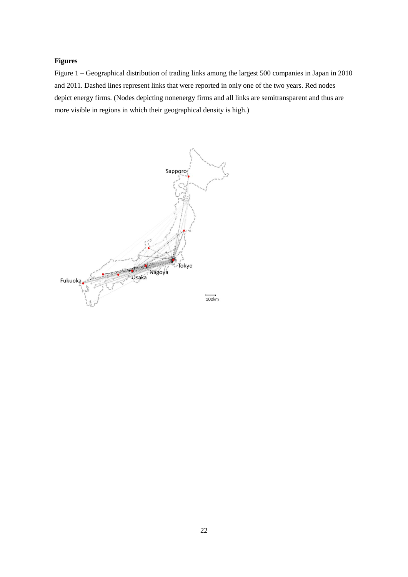## **Figures**

Figure 1 – Geographical distribution of trading links among the largest 500 companies in Japan in 2010 and 2011. Dashed lines represent links that were reported in only one of the two years. Red nodes depict energy firms. (Nodes depicting nonenergy firms and all links are semitransparent and thus are more visible in regions in which their geographical density is high.)

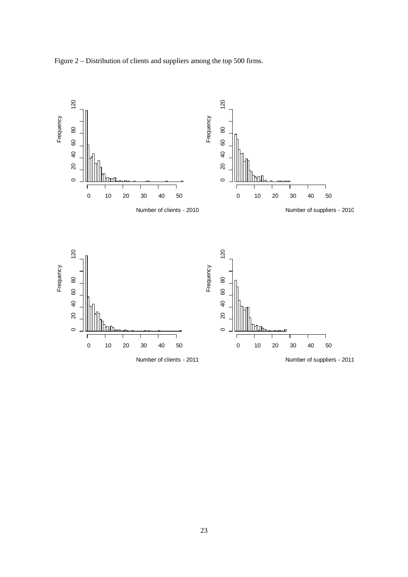Figure 2 – Distribution of clients and suppliers among the top 500 firms.

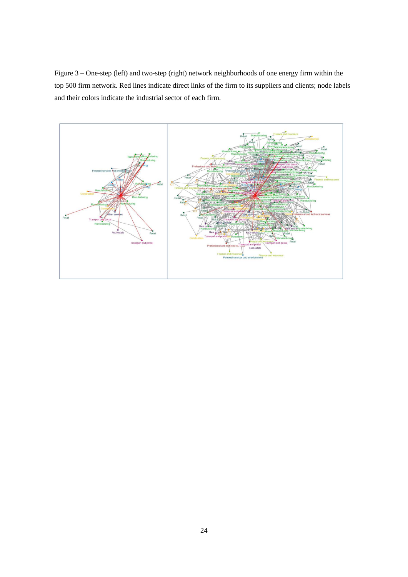Figure 3 – One-step (left) and two-step (right) network neighborhoods of one energy firm within the top 500 firm network. Red lines indicate direct links of the firm to its suppliers and clients; node labels and their colors indicate the industrial sector of each firm.

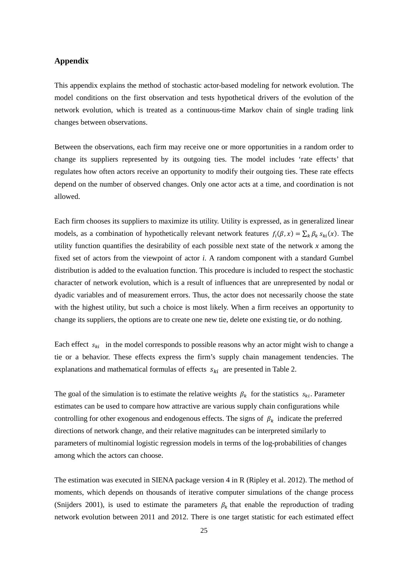## **Appendix**

This appendix explains the method of stochastic actor-based modeling for network evolution. The model conditions on the first observation and tests hypothetical drivers of the evolution of the network evolution, which is treated as a continuous-time Markov chain of single trading link changes between observations.

Between the observations, each firm may receive one or more opportunities in a random order to change its suppliers represented by its outgoing ties. The model includes 'rate effects' that regulates how often actors receive an opportunity to modify their outgoing ties. These rate effects depend on the number of observed changes. Only one actor acts at a time, and coordination is not allowed.

Each firm chooses its suppliers to maximize its utility. Utility is expressed, as in generalized linear models, as a combination of hypothetically relevant network features  $f_i(\beta, x) = \sum_k \beta_k s_{ki}(x)$ . The utility function quantifies the desirability of each possible next state of the network *x* among the fixed set of actors from the viewpoint of actor *i*. A random component with a standard Gumbel distribution is added to the evaluation function. This procedure is included to respect the stochastic character of network evolution, which is a result of influences that are unrepresented by nodal or dyadic variables and of measurement errors. Thus, the actor does not necessarily choose the state with the highest utility, but such a choice is most likely. When a firm receives an opportunity to change its suppliers, the options are to create one new tie, delete one existing tie, or do nothing.

Each effect  $s_{ki}$  in the model corresponds to possible reasons why an actor might wish to change a tie or a behavior. These effects express the firm's supply chain management tendencies. The explanations and mathematical formulas of effects  $s_{ki}$  are presented in Table 2.

The goal of the simulation is to estimate the relative weights  $\beta_k$  for the statistics  $s_{ki}$ . Parameter estimates can be used to compare how attractive are various supply chain configurations while controlling for other exogenous and endogenous effects. The signs of  $\beta_k$  indicate the preferred directions of network change, and their relative magnitudes can be interpreted similarly to parameters of multinomial logistic regression models in terms of the log-probabilities of changes among which the actors can choose.

The estimation was executed in SIENA package version 4 in R [\(Ripley et al. 2012\)](#page-14-9). The method of moments, which depends on thousands of iterative computer simulations of the change process [\(Snijders 2001\)](#page-14-11), is used to estimate the parameters  $\beta_k$  that enable the reproduction of trading network evolution between 2011 and 2012. There is one target statistic for each estimated effect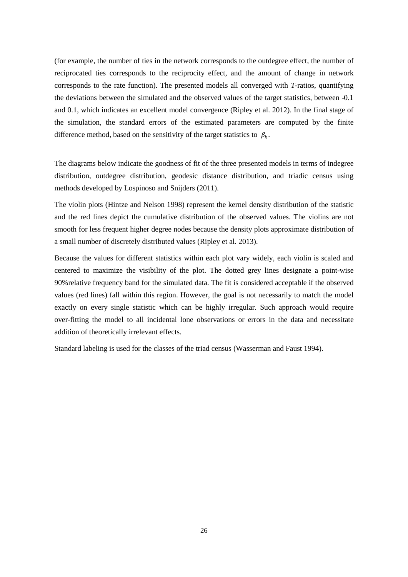(for example, the number of ties in the network corresponds to the outdegree effect, the number of reciprocated ties corresponds to the reciprocity effect, and the amount of change in network corresponds to the rate function). The presented models all converged with *T*-ratios, quantifying the deviations between the simulated and the observed values of the target statistics, between -0.1 and 0.1, which indicates an excellent model convergence [\(Ripley et al. 2012\)](#page-14-9). In the final stage of the simulation, the standard errors of the estimated parameters are computed by the finite difference method, based on the sensitivity of the target statistics to  $\beta_k$ .

The diagrams below indicate the goodness of fit of the three presented models in terms of indegree distribution, outdegree distribution, geodesic distance distribution, and triadic census using methods developed by Lospinoso and Snijders (2011).

The violin plots [\(Hintze and Nelson 1998\)](#page-13-18) represent the kernel density distribution of the statistic and the red lines depict the cumulative distribution of the observed values. The violins are not smooth for less frequent higher degree nodes because the density plots approximate distribution of a small number of discretely distributed values [\(Ripley et al. 2013\)](#page-14-16).

Because the values for different statistics within each plot vary widely, each violin is scaled and centered to maximize the visibility of the plot. The dotted grey lines designate a point-wise 90%relative frequency band for the simulated data. The fit is considered acceptable if the observed values (red lines) fall within this region. However, the goal is not necessarily to match the model exactly on every single statistic which can be highly irregular. Such approach would require over-fitting the model to all incidental lone observations or errors in the data and necessitate addition of theoretically irrelevant effects.

Standard labeling is used for the classes of the triad census [\(Wasserman and Faust 1994\)](#page-15-10).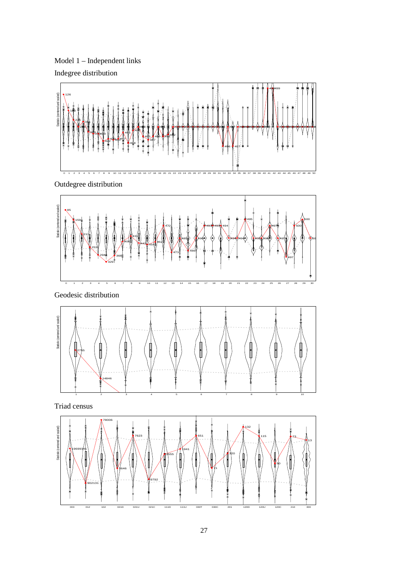Model 1 – Independent links Indegree distribution



Outdegree distribution



Geodesic distribution



Triad census